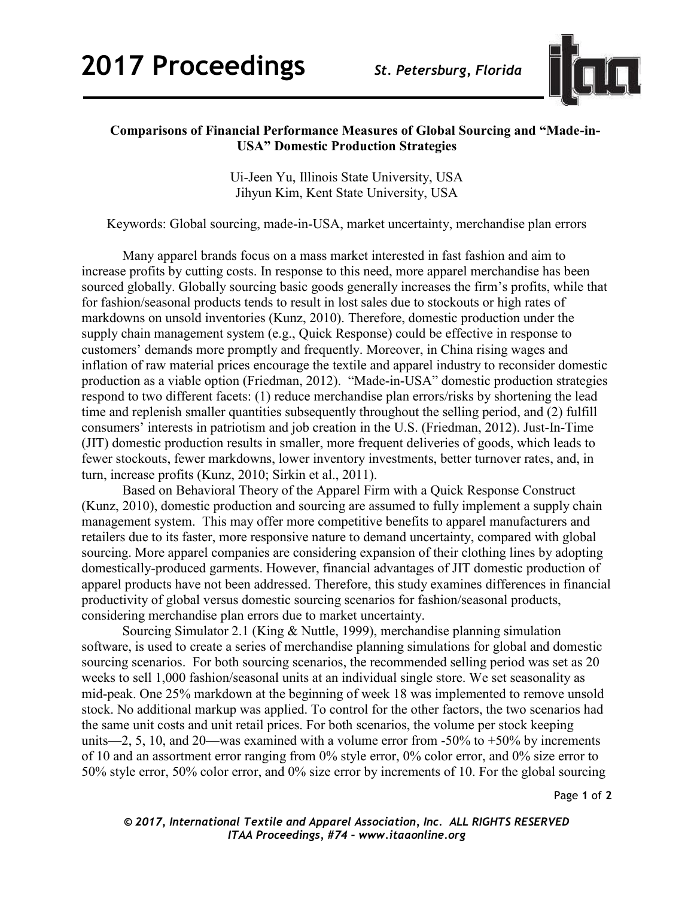

## **Comparisons of Financial Performance Measures of Global Sourcing and "Made-in-USA" Domestic Production Strategies**

Ui-Jeen Yu, Illinois State University, USA Jihyun Kim, Kent State University, USA

Keywords: Global sourcing, made-in-USA, market uncertainty, merchandise plan errors

Many apparel brands focus on a mass market interested in fast fashion and aim to increase profits by cutting costs. In response to this need, more apparel merchandise has been sourced globally. Globally sourcing basic goods generally increases the firm's profits, while that for fashion/seasonal products tends to result in lost sales due to stockouts or high rates of markdowns on unsold inventories (Kunz, 2010). Therefore, domestic production under the supply chain management system (e.g., Quick Response) could be effective in response to customers' demands more promptly and frequently. Moreover, in China rising wages and inflation of raw material prices encourage the textile and apparel industry to reconsider domestic production as a viable option (Friedman, 2012). "Made-in-USA" domestic production strategies respond to two different facets: (1) reduce merchandise plan errors/risks by shortening the lead time and replenish smaller quantities subsequently throughout the selling period, and (2) fulfill consumers' interests in patriotism and job creation in the U.S. (Friedman, 2012). Just-In-Time (JIT) domestic production results in smaller, more frequent deliveries of goods, which leads to fewer stockouts, fewer markdowns, lower inventory investments, better turnover rates, and, in turn, increase profits (Kunz, 2010; Sirkin et al., 2011).

Based on Behavioral Theory of the Apparel Firm with a Quick Response Construct (Kunz, 2010), domestic production and sourcing are assumed to fully implement a supply chain management system. This may offer more competitive benefits to apparel manufacturers and retailers due to its faster, more responsive nature to demand uncertainty, compared with global sourcing. More apparel companies are considering expansion of their clothing lines by adopting domestically-produced garments. However, financial advantages of JIT domestic production of apparel products have not been addressed. Therefore, this study examines differences in financial productivity of global versus domestic sourcing scenarios for fashion/seasonal products, considering merchandise plan errors due to market uncertainty.

Sourcing Simulator 2.1 (King & Nuttle, 1999), merchandise planning simulation software, is used to create a series of merchandise planning simulations for global and domestic sourcing scenarios. For both sourcing scenarios, the recommended selling period was set as 20 weeks to sell 1,000 fashion/seasonal units at an individual single store. We set seasonality as mid-peak. One 25% markdown at the beginning of week 18 was implemented to remove unsold stock. No additional markup was applied. To control for the other factors, the two scenarios had the same unit costs and unit retail prices. For both scenarios, the volume per stock keeping units—2, 5, 10, and 20—was examined with a volume error from  $-50\%$  to  $+50\%$  by increments of 10 and an assortment error ranging from 0% style error, 0% color error, and 0% size error to 50% style error, 50% color error, and 0% size error by increments of 10. For the global sourcing

Page **1** of **2** 

*© 2017, International Textile and Apparel Association, Inc. ALL RIGHTS RESERVED ITAA Proceedings, #74 – www.itaaonline.org*